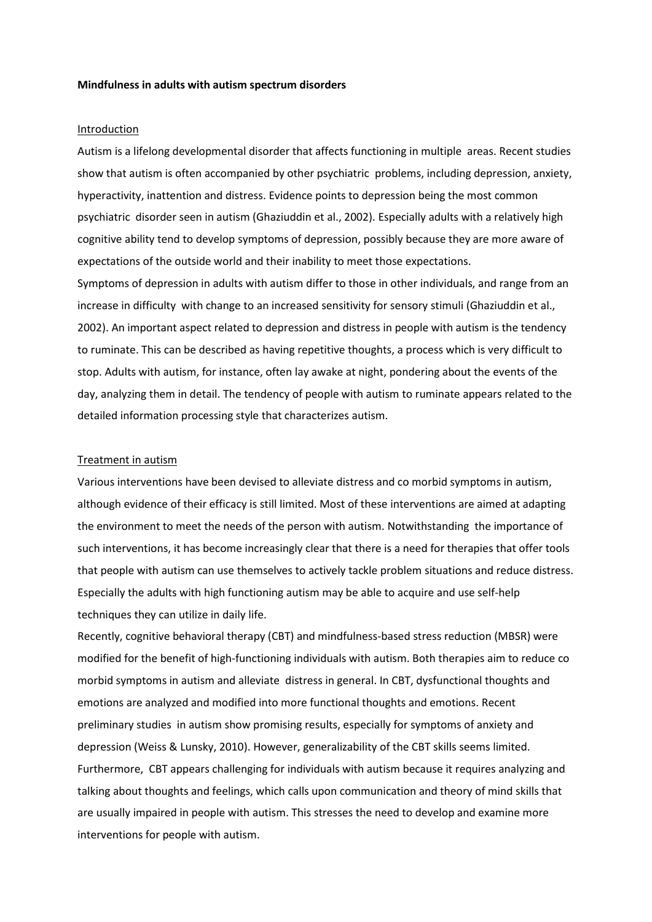### **Mindfulness in adults with autism spectrum disorders**

## Introduction

Autism is a lifelong developmental disorder that affects functioning in multiple areas. Recent studies show that autism is often accompanied by other psychiatric problems, including depression, anxiety, hyperactivity, inattention and distress. Evidence points to depression being the most common psychiatric disorder seen in autism (Ghaziuddin et al., 2002). Especially adults with a relatively high cognitive ability tend to develop symptoms of depression, possibly because they are more aware of expectations of the outside world and their inability to meet those expectations.

Symptoms of depression in adults with autism differ to those in other individuals, and range from an increase in difficulty with change to an increased sensitivity for sensory stimuli (Ghaziuddin et al., 2002). An important aspect related to depression and distress in people with autism is the tendency to ruminate. This can be described as having repetitive thoughts, a process which is very difficult to stop. Adults with autism, for instance, often lay awake at night, pondering about the events of the day, analyzing them in detail. The tendency of people with autism to ruminate appears related to the detailed information processing style that characterizes autism.

#### Treatment in autism

Various interventions have been devised to alleviate distress and co morbid symptoms in autism, although evidence of their efficacy is still limited. Most of these interventions are aimed at adapting the environment to meet the needs of the person with autism. Notwithstanding the importance of such interventions, it has become increasingly clear that there is a need for therapies that offer tools that people with autism can use themselves to actively tackle problem situations and reduce distress. Especially the adults with high functioning autism may be able to acquire and use self-help techniques they can utilize in daily life.

Recently, cognitive behavioral therapy (CBT) and mindfulness-based stress reduction (MBSR) were modified for the benefit of high-functioning individuals with autism. Both therapies aim to reduce co morbid symptoms in autism and alleviate distress in general. In CBT, dysfunctional thoughts and emotions are analyzed and modified into more functional thoughts and emotions. Recent preliminary studies in autism show promising results, especially for symptoms of anxiety and depression (Weiss & Lunsky, 2010). However, generalizability of the CBT skills seems limited. Furthermore, CBT appears challenging for individuals with autism because it requires analyzing and talking about thoughts and feelings, which calls upon communication and theory of mind skills that are usually impaired in people with autism. This stresses the need to develop and examine more interventions for people with autism.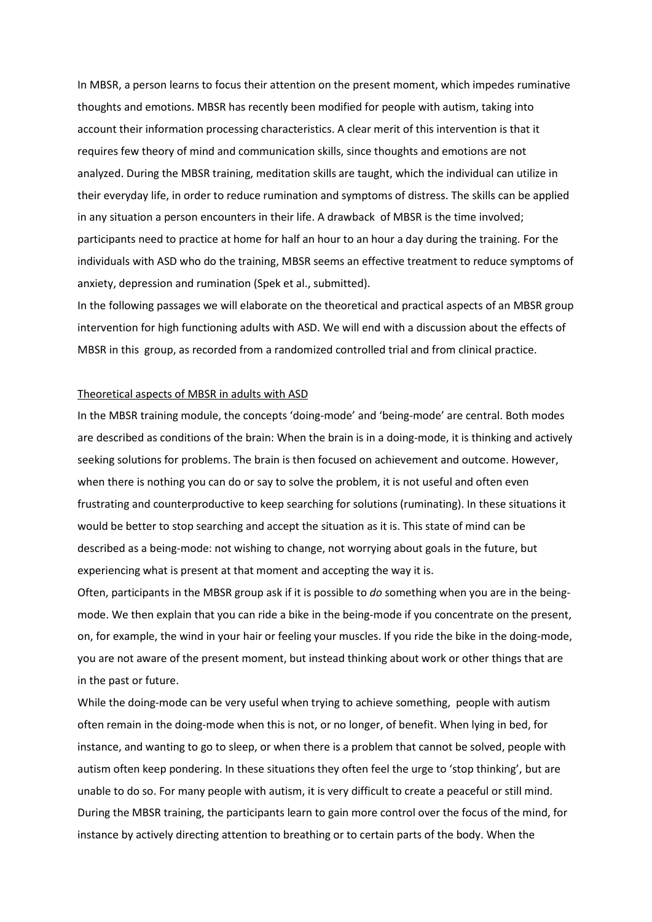In MBSR, a person learns to focus their attention on the present moment, which impedes ruminative thoughts and emotions. MBSR has recently been modified for people with autism, taking into account their information processing characteristics. A clear merit of this intervention is that it requires few theory of mind and communication skills, since thoughts and emotions are not analyzed. During the MBSR training, meditation skills are taught, which the individual can utilize in their everyday life, in order to reduce rumination and symptoms of distress. The skills can be applied in any situation a person encounters in their life. A drawback of MBSR is the time involved; participants need to practice at home for half an hour to an hour a day during the training. For the individuals with ASD who do the training, MBSR seems an effective treatment to reduce symptoms of anxiety, depression and rumination (Spek et al., submitted).

In the following passages we will elaborate on the theoretical and practical aspects of an MBSR group intervention for high functioning adults with ASD. We will end with a discussion about the effects of MBSR in this group, as recorded from a randomized controlled trial and from clinical practice.

# Theoretical aspects of MBSR in adults with ASD

In the MBSR training module, the concepts 'doing-mode' and 'being-mode' are central. Both modes are described as conditions of the brain: When the brain is in a doing-mode, it is thinking and actively seeking solutions for problems. The brain is then focused on achievement and outcome. However, when there is nothing you can do or say to solve the problem, it is not useful and often even frustrating and counterproductive to keep searching for solutions (ruminating). In these situations it would be better to stop searching and accept the situation as it is. This state of mind can be described as a being-mode: not wishing to change, not worrying about goals in the future, but experiencing what is present at that moment and accepting the way it is.

Often, participants in the MBSR group ask if it is possible to *do* something when you are in the beingmode. We then explain that you can ride a bike in the being-mode if you concentrate on the present, on, for example, the wind in your hair or feeling your muscles. If you ride the bike in the doing-mode, you are not aware of the present moment, but instead thinking about work or other things that are in the past or future.

While the doing-mode can be very useful when trying to achieve something, people with autism often remain in the doing-mode when this is not, or no longer, of benefit. When lying in bed, for instance, and wanting to go to sleep, or when there is a problem that cannot be solved, people with autism often keep pondering. In these situations they often feel the urge to 'stop thinking', but are unable to do so. For many people with autism, it is very difficult to create a peaceful or still mind. During the MBSR training, the participants learn to gain more control over the focus of the mind, for instance by actively directing attention to breathing or to certain parts of the body. When the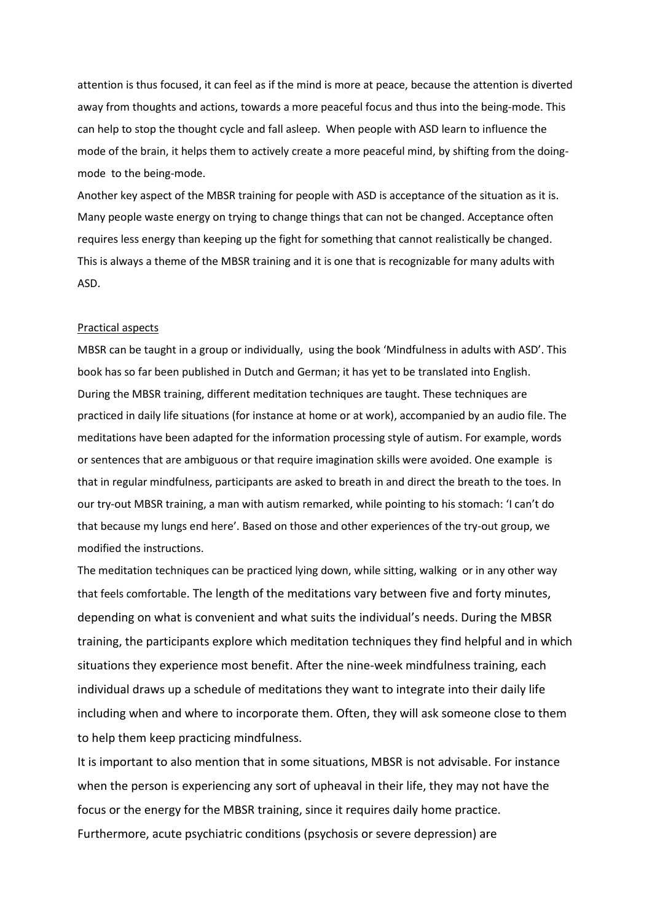attention is thus focused, it can feel as if the mind is more at peace, because the attention is diverted away from thoughts and actions, towards a more peaceful focus and thus into the being-mode. This can help to stop the thought cycle and fall asleep. When people with ASD learn to influence the mode of the brain, it helps them to actively create a more peaceful mind, by shifting from the doingmode to the being-mode.

Another key aspect of the MBSR training for people with ASD is acceptance of the situation as it is. Many people waste energy on trying to change things that can not be changed. Acceptance often requires less energy than keeping up the fight for something that cannot realistically be changed. This is always a theme of the MBSR training and it is one that is recognizable for many adults with ASD.

#### Practical aspects

MBSR can be taught in a group or individually, using the book 'Mindfulness in adults with ASD'. This book has so far been published in Dutch and German; it has yet to be translated into English. During the MBSR training, different meditation techniques are taught. These techniques are practiced in daily life situations (for instance at home or at work), accompanied by an audio file. The meditations have been adapted for the information processing style of autism. For example, words or sentences that are ambiguous or that require imagination skills were avoided. One example is that in regular mindfulness, participants are asked to breath in and direct the breath to the toes. In our try-out MBSR training, a man with autism remarked, while pointing to his stomach: 'I can't do that because my lungs end here'. Based on those and other experiences of the try-out group, we modified the instructions.

The meditation techniques can be practiced lying down, while sitting, walking or in any other way that feels comfortable. The length of the meditations vary between five and forty minutes, depending on what is convenient and what suits the individual's needs. During the MBSR training, the participants explore which meditation techniques they find helpful and in which situations they experience most benefit. After the nine-week mindfulness training, each individual draws up a schedule of meditations they want to integrate into their daily life including when and where to incorporate them. Often, they will ask someone close to them to help them keep practicing mindfulness.

It is important to also mention that in some situations, MBSR is not advisable. For instance when the person is experiencing any sort of upheaval in their life, they may not have the focus or the energy for the MBSR training, since it requires daily home practice. Furthermore, acute psychiatric conditions (psychosis or severe depression) are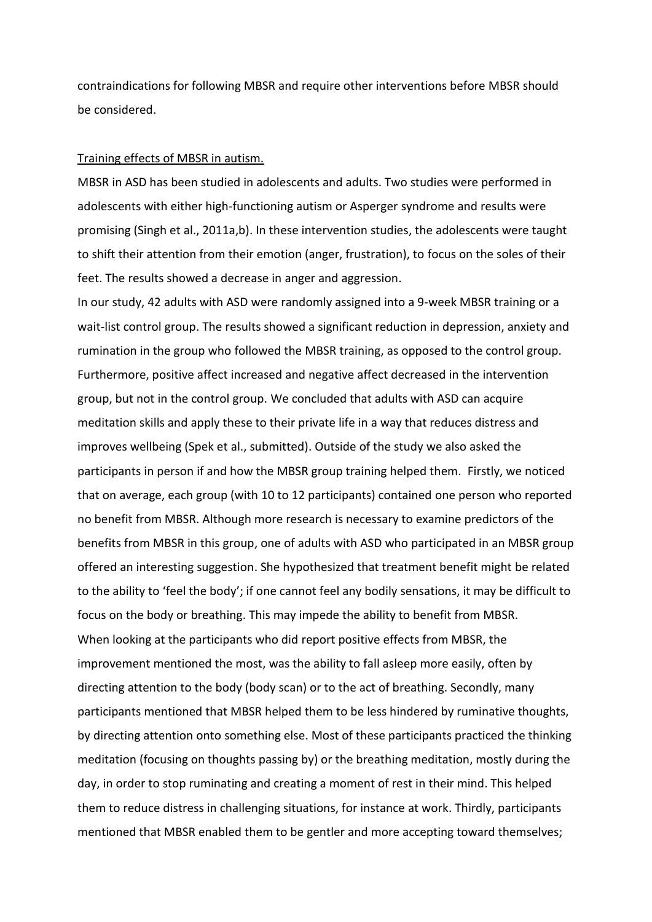contraindications for following MBSR and require other interventions before MBSR should be considered.

## Training effects of MBSR in autism.

MBSR in ASD has been studied in adolescents and adults. Two studies were performed in adolescents with either high-functioning autism or Asperger syndrome and results were promising (Singh et al., 2011a,b). In these intervention studies, the adolescents were taught to shift their attention from their emotion (anger, frustration), to focus on the soles of their feet. The results showed a decrease in anger and aggression.

In our study, 42 adults with ASD were randomly assigned into a 9-week MBSR training or a wait-list control group. The results showed a significant reduction in depression, anxiety and rumination in the group who followed the MBSR training, as opposed to the control group. Furthermore, positive affect increased and negative affect decreased in the intervention group, but not in the control group. We concluded that adults with ASD can acquire meditation skills and apply these to their private life in a way that reduces distress and improves wellbeing (Spek et al., submitted). Outside of the study we also asked the participants in person if and how the MBSR group training helped them. Firstly, we noticed that on average, each group (with 10 to 12 participants) contained one person who reported no benefit from MBSR. Although more research is necessary to examine predictors of the benefits from MBSR in this group, one of adults with ASD who participated in an MBSR group offered an interesting suggestion. She hypothesized that treatment benefit might be related to the ability to 'feel the body'; if one cannot feel any bodily sensations, it may be difficult to focus on the body or breathing. This may impede the ability to benefit from MBSR. When looking at the participants who did report positive effects from MBSR, the improvement mentioned the most, was the ability to fall asleep more easily, often by directing attention to the body (body scan) or to the act of breathing. Secondly, many participants mentioned that MBSR helped them to be less hindered by ruminative thoughts, by directing attention onto something else. Most of these participants practiced the thinking meditation (focusing on thoughts passing by) or the breathing meditation, mostly during the day, in order to stop ruminating and creating a moment of rest in their mind. This helped them to reduce distress in challenging situations, for instance at work. Thirdly, participants mentioned that MBSR enabled them to be gentler and more accepting toward themselves;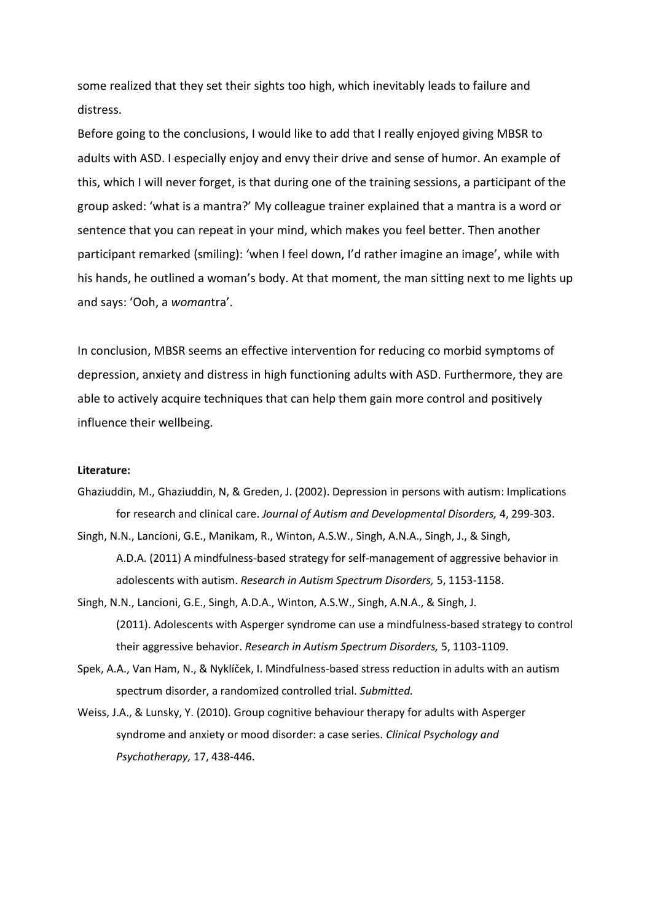some realized that they set their sights too high, which inevitably leads to failure and distress.

Before going to the conclusions, I would like to add that I really enjoyed giving MBSR to adults with ASD. I especially enjoy and envy their drive and sense of humor. An example of this, which I will never forget, is that during one of the training sessions, a participant of the group asked: 'what is a mantra?' My colleague trainer explained that a mantra is a word or sentence that you can repeat in your mind, which makes you feel better. Then another participant remarked (smiling): 'when I feel down, I'd rather imagine an image', while with his hands, he outlined a woman's body. At that moment, the man sitting next to me lights up and says: 'Ooh, a *woman*tra'.

In conclusion, MBSR seems an effective intervention for reducing co morbid symptoms of depression, anxiety and distress in high functioning adults with ASD. Furthermore, they are able to actively acquire techniques that can help them gain more control and positively influence their wellbeing.

#### **Literature:**

- Ghaziuddin, M., Ghaziuddin, N, & Greden, J. (2002). Depression in persons with autism: Implications for research and clinical care. *Journal of Autism and Developmental Disorders,* 4, 299-303.
- Singh, N.N., Lancioni, G.E., Manikam, R., Winton, A.S.W., Singh, A.N.A., Singh, J., & Singh, A.D.A. (2011) A mindfulness-based strategy for self-management of aggressive behavior in adolescents with autism. *Research in Autism Spectrum Disorders,* 5, 1153-1158.
- Singh, N.N., Lancioni, G.E., Singh, A.D.A., Winton, A.S.W., Singh, A.N.A., & Singh, J. (2011). Adolescents with Asperger syndrome can use a mindfulness-based strategy to control their aggressive behavior. *Research in Autism Spectrum Disorders,* 5, 1103-1109.
- Spek, A.A., Van Ham, N., & Nyklíček, I. Mindfulness-based stress reduction in adults with an autism spectrum disorder, a randomized controlled trial. *Submitted.*
- Weiss, J.A., & Lunsky, Y. (2010). Group cognitive behaviour therapy for adults with Asperger syndrome and anxiety or mood disorder: a case series. *Clinical Psychology and Psychotherapy,* 17, 438-446.